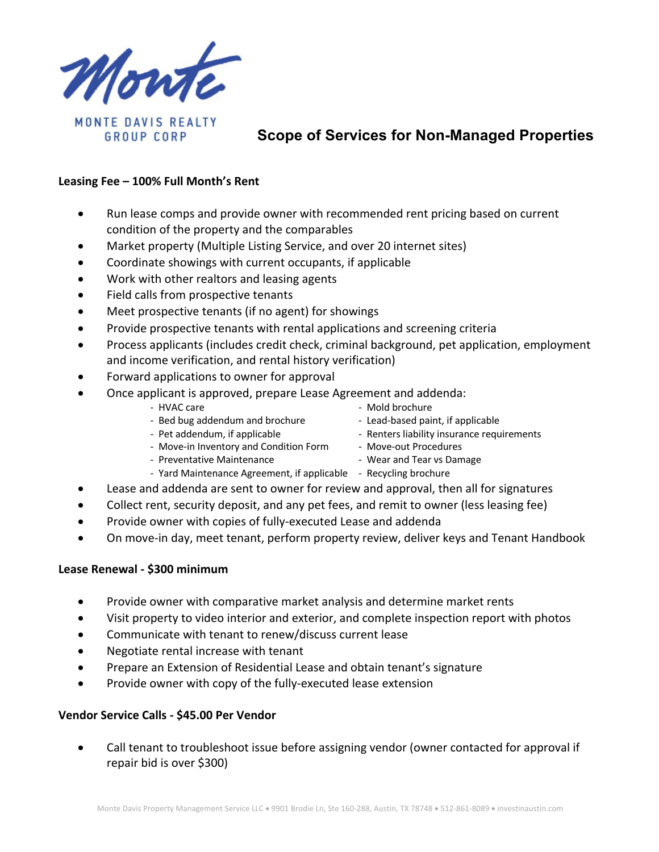

# **Scope of Services for Non-Managed Properties**

### **Leasing Fee – 100% Full Month's Rent**

- Run lease comps and provide owner with recommended rent pricing based on current condition of the property and the comparables
- Market property (Multiple Listing Service, and over 20 internet sites)
- Coordinate showings with current occupants, if applicable
- Work with other realtors and leasing agents
- Field calls from prospective tenants
- Meet prospective tenants (if no agent) for showings
- Provide prospective tenants with rental applications and screening criteria
- Process applicants (includes credit check, criminal background, pet application, employment and income verification, and rental history verification)
- Forward applications to owner for approval
- Once applicant is approved, prepare Lease Agreement and addenda:
	-
	- HVAC care  $\sim$  Mold brochure
	- Bed bug addendum and brochure Lead-based paint, if applicable - Pet addendum, if applicable  $\overline{\phantom{a}}$  - Renters liability insurance requirements
	- Move-in Inventory and Condition Form Move-out Procedures
	- Preventative Maintenance **National State of the Vear and Tear vs Damage** 
		-
- 
- Yard Maintenance Agreement, if applicable Recycling brochure
- Lease and addenda are sent to owner for review and approval, then all for signatures
- Collect rent, security deposit, and any pet fees, and remit to owner (less leasing fee)
- Provide owner with copies of fully-executed Lease and addenda
- On move-in day, meet tenant, perform property review, deliver keys and Tenant Handbook

### **Lease Renewal - \$300 minimum**

- Provide owner with comparative market analysis and determine market rents
- Visit property to video interior and exterior, and complete inspection report with photos
- Communicate with tenant to renew/discuss current lease
- Negotiate rental increase with tenant
- Prepare an Extension of Residential Lease and obtain tenant's signature
- Provide owner with copy of the fully-executed lease extension

## **Vendor Service Calls - \$45.00 Per Vendor**

• Call tenant to troubleshoot issue before assigning vendor (owner contacted for approval if repair bid is over \$300)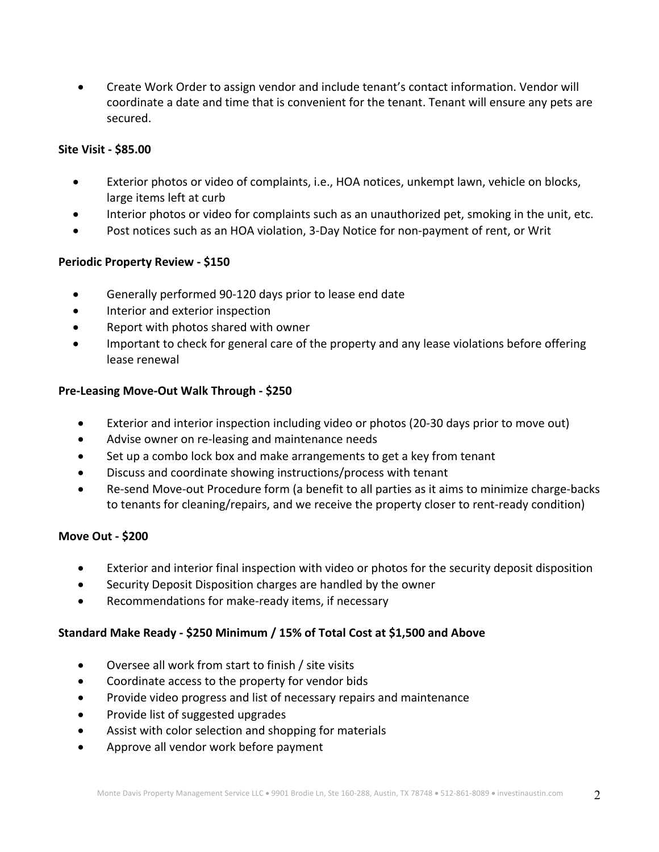• Create Work Order to assign vendor and include tenant's contact information. Vendor will coordinate a date and time that is convenient for the tenant. Tenant will ensure any pets are secured.

### **Site Visit - \$85.00**

- Exterior photos or video of complaints, i.e., HOA notices, unkempt lawn, vehicle on blocks, large items left at curb
- Interior photos or video for complaints such as an unauthorized pet, smoking in the unit, etc.
- Post notices such as an HOA violation, 3-Day Notice for non-payment of rent, or Writ

### **Periodic Property Review - \$150**

- Generally performed 90-120 days prior to lease end date
- Interior and exterior inspection
- Report with photos shared with owner
- Important to check for general care of the property and any lease violations before offering lease renewal

### **Pre-Leasing Move-Out Walk Through - \$250**

- Exterior and interior inspection including video or photos (20-30 days prior to move out)
- Advise owner on re-leasing and maintenance needs
- Set up a combo lock box and make arrangements to get a key from tenant
- Discuss and coordinate showing instructions/process with tenant
- Re-send Move-out Procedure form (a benefit to all parties as it aims to minimize charge-backs to tenants for cleaning/repairs, and we receive the property closer to rent-ready condition)

### **Move Out - \$200**

- Exterior and interior final inspection with video or photos for the security deposit disposition
- Security Deposit Disposition charges are handled by the owner
- Recommendations for make-ready items, if necessary

### **Standard Make Ready - \$250 Minimum / 15% of Total Cost at \$1,500 and Above**

- Oversee all work from start to finish / site visits
- Coordinate access to the property for vendor bids
- Provide video progress and list of necessary repairs and maintenance
- Provide list of suggested upgrades
- Assist with color selection and shopping for materials
- Approve all vendor work before payment